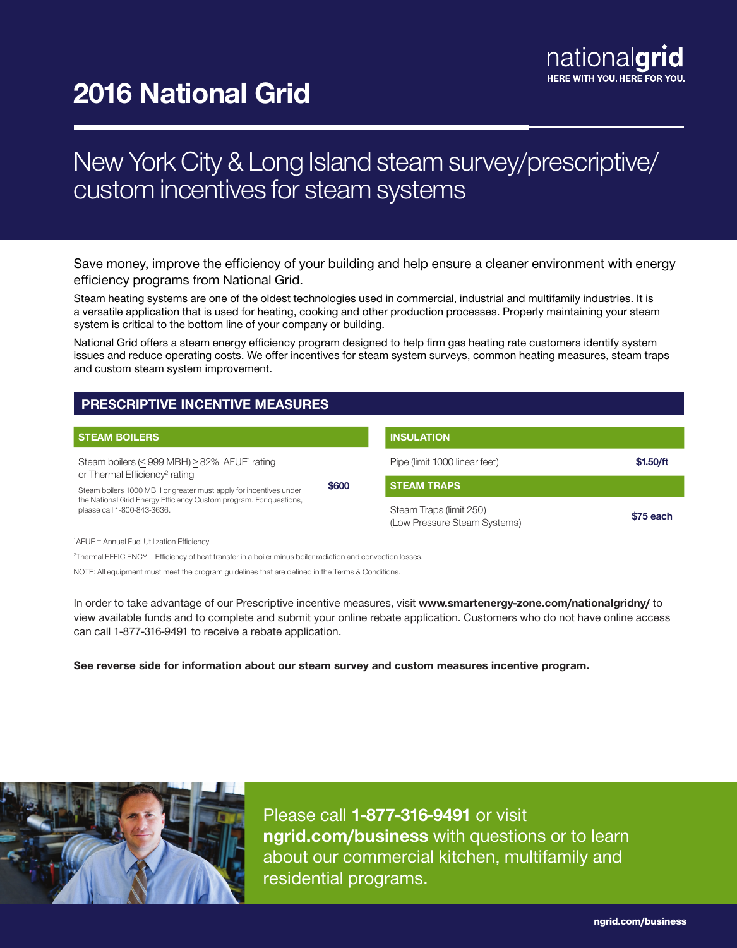# 2016 National Grid

## New York City & Long Island steam survey/prescriptive/ custom incentives for steam systems

Save money, improve the efficiency of your building and help ensure a cleaner environment with energy efficiency programs from National Grid.

Steam heating systems are one of the oldest technologies used in commercial, industrial and multifamily industries. It is a versatile application that is used for heating, cooking and other production processes. Properly maintaining your steam system is critical to the bottom line of your company or building.

National Grid offers a steam energy efficiency program designed to help firm gas heating rate customers identify system issues and reduce operating costs. We offer incentives for steam system surveys, common heating measures, steam traps and custom steam system improvement.

## PRESCRIPTIVE INCENTIVE MEASURES

| <b>STEAM BOILERS</b>                                                                                                                                                   |       | <b>INSULATION</b>                                       |           |
|------------------------------------------------------------------------------------------------------------------------------------------------------------------------|-------|---------------------------------------------------------|-----------|
| Steam boilers $(<$ 999 MBH) > 82% AFUE <sup>1</sup> rating<br>or Thermal Efficiency <sup>2</sup> rating                                                                | \$600 | Pipe (limit 1000 linear feet)                           | \$1.50/ft |
| Steam boilers 1000 MBH or greater must apply for incentives under<br>the National Grid Energy Efficiency Custom program. For questions,<br>please call 1-800-843-3636. |       | <b>STEAM TRAPS</b>                                      |           |
|                                                                                                                                                                        |       | Steam Traps (limit 250)<br>(Low Pressure Steam Systems) | \$75 each |
| <sup>1</sup> AFUE = Annual Fuel Utilization Efficiency                                                                                                                 |       |                                                         |           |

2 Thermal EFFICIENCY = Efficiency of heat transfer in a boiler minus boiler radiation and convection losses.

NOTE: All equipment must meet the program guidelines that are defined in the Terms & Conditions.

In order to take advantage of our Prescriptive incentive measures, visit www.smartenergy-zone.com/nationalgridny/ to view available funds and to complete and submit your online rebate application. Customers who do not have online access can call 1-877-316-9491 to receive a rebate application.

See reverse side for information about our steam survey and custom measures incentive program.



Please call 1-877-316-9491 or visit ngrid.com/business with questions or to learn about our commercial kitchen, multifamily and residential programs.